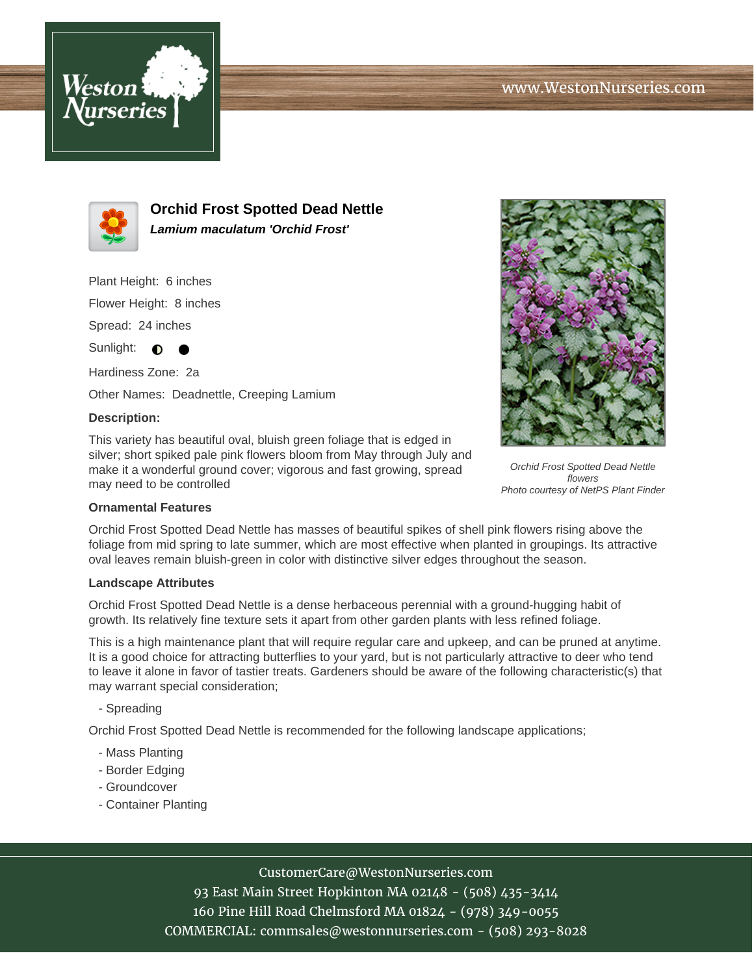



**Orchid Frost Spotted Dead Nettle Lamium maculatum 'Orchid Frost'**

Plant Height: 6 inches

Flower Height: 8 inches

Spread: 24 inches

Sunlight:  $\bullet$ 

Hardiness Zone: 2a Other Names: Deadnettle, Creeping Lamium

### **Description:**

This variety has beautiful oval, bluish green foliage that is edged in silver; short spiked pale pink flowers bloom from May through July and make it a wonderful ground cover; vigorous and fast growing, spread may need to be controlled



Orchid Frost Spotted Dead Nettle flowers Photo courtesy of NetPS Plant Finder

### **Ornamental Features**

Orchid Frost Spotted Dead Nettle has masses of beautiful spikes of shell pink flowers rising above the foliage from mid spring to late summer, which are most effective when planted in groupings. Its attractive oval leaves remain bluish-green in color with distinctive silver edges throughout the season.

#### **Landscape Attributes**

Orchid Frost Spotted Dead Nettle is a dense herbaceous perennial with a ground-hugging habit of growth. Its relatively fine texture sets it apart from other garden plants with less refined foliage.

This is a high maintenance plant that will require regular care and upkeep, and can be pruned at anytime. It is a good choice for attracting butterflies to your yard, but is not particularly attractive to deer who tend to leave it alone in favor of tastier treats. Gardeners should be aware of the following characteristic(s) that may warrant special consideration;

### - Spreading

Orchid Frost Spotted Dead Nettle is recommended for the following landscape applications;

- Mass Planting
- Border Edging
- Groundcover
- Container Planting

# CustomerCare@WestonNurseries.com

93 East Main Street Hopkinton MA 02148 - (508) 435-3414 160 Pine Hill Road Chelmsford MA 01824 - (978) 349-0055 COMMERCIAL: commsales@westonnurseries.com - (508) 293-8028